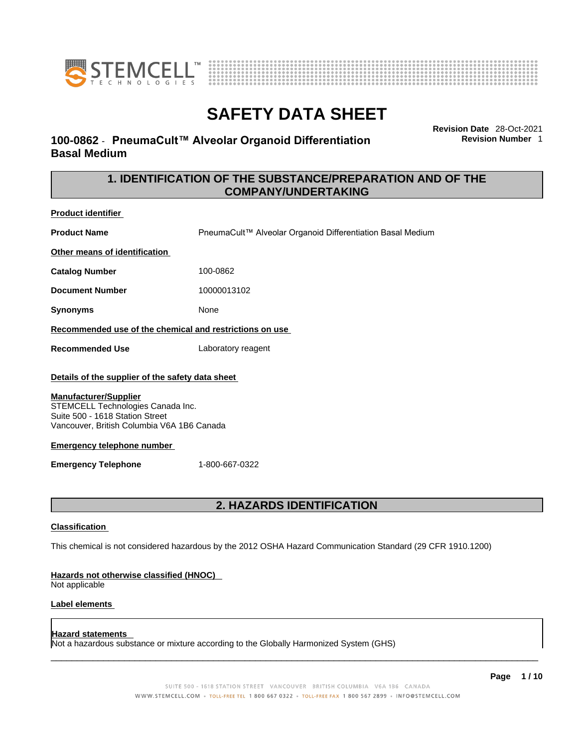



# **100-0862** - **PneumaCult™ Alveolar Organoid Differentiation Basal Medium**

**Revision Date** 28-Oct-2021 **Revision Number** 1

# **1. IDENTIFICATION OF THE SUBSTANCE/PREPARATION AND OF THE COMPANY/UNDERTAKING**

**Product identifier Product Name** PneumaCult™ Alveolar Organoid Differentiation Basal Medium **Other means of identification**

**Catalog Number** 100-0862

**Document Number** 10000013102

**Synonyms** None

#### **Recommended use of the chemical and restrictions on use**

**Recommended Use** Laboratory reagent

#### **Details of the supplier of the safety data sheet**

#### **Manufacturer/Supplier**

STEMCELL Technologies Canada Inc. Suite 500 - 1618 Station Street Vancouver, British Columbia V6A 1B6 Canada

#### **Emergency telephone number**

**Emergency Telephone** 1-800-667-0322

# **2. HAZARDS IDENTIFICATION**

#### **Classification**

This chemical is not considered hazardous by the 2012 OSHA Hazard Communication Standard (29 CFR 1910.1200)

#### **Hazards not otherwise classified (HNOC)**

Not applicable

### **Label elements**

### **Hazard statements**

Not a hazardous substance or mixture according to the Globally Harmonized System (GHS)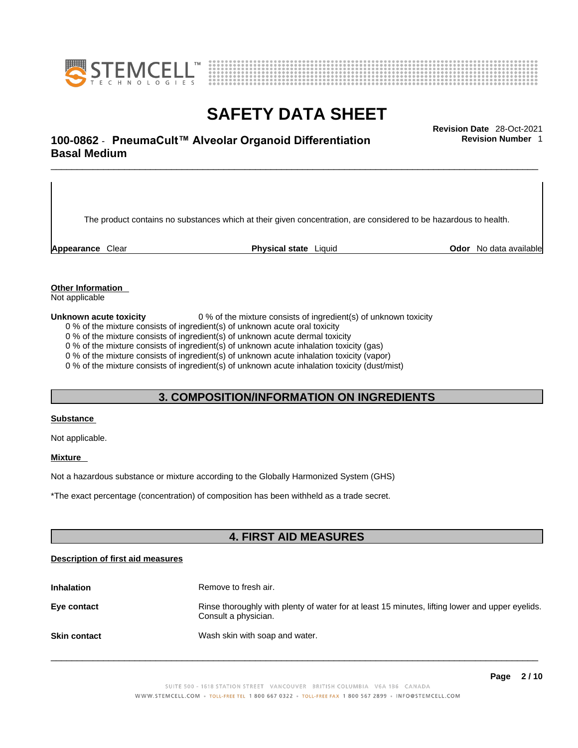



# \_\_\_\_\_\_\_\_\_\_\_\_\_\_\_\_\_\_\_\_\_\_\_\_\_\_\_\_\_\_\_\_\_\_\_\_\_\_\_\_\_\_\_\_\_\_\_\_\_\_\_\_\_\_\_\_\_\_\_\_\_\_\_\_\_\_\_\_\_\_\_\_\_\_\_\_\_\_\_\_\_\_\_\_\_\_\_\_\_\_\_\_\_ **Revision Date** 28-Oct-2021 **100-0862** - **PneumaCult™ Alveolar Organoid Differentiation Basal Medium**

The product contains no substances which at their given concentration, are considered to be hazardous to health.

**Appearance** Clear **Physical state** Liquid **Odor** No data available

**Revision Number** 1

**Other Information** 

Not applicable

**Unknown acute toxicity** 0 % of the mixture consists of ingredient(s) of unknown toxicity

0 % of the mixture consists of ingredient(s) of unknown acute oral toxicity

0 % of the mixture consists of ingredient(s) of unknown acute dermal toxicity

0 % of the mixture consists of ingredient(s) of unknown acute inhalation toxicity (gas)

0 % of the mixture consists of ingredient(s) of unknown acute inhalation toxicity (vapor)

0 % of the mixture consists of ingredient(s) of unknown acute inhalation toxicity (dust/mist)

## **3. COMPOSITION/INFORMATION ON INGREDIENTS**

#### **Substance**

Not applicable.

### **Mixture**

Not a hazardous substance or mixture according to the Globally Harmonized System (GHS)

\*The exact percentage (concentration) of composition has been withheld as a trade secret.

## **4. FIRST AID MEASURES**

#### **Description of first aid measures**

| <b>Inhalation</b>   | Remove to fresh air.                                                                                                    |
|---------------------|-------------------------------------------------------------------------------------------------------------------------|
| Eye contact         | Rinse thoroughly with plenty of water for at least 15 minutes, lifting lower and upper eyelids.<br>Consult a physician. |
| <b>Skin contact</b> | Wash skin with soap and water.                                                                                          |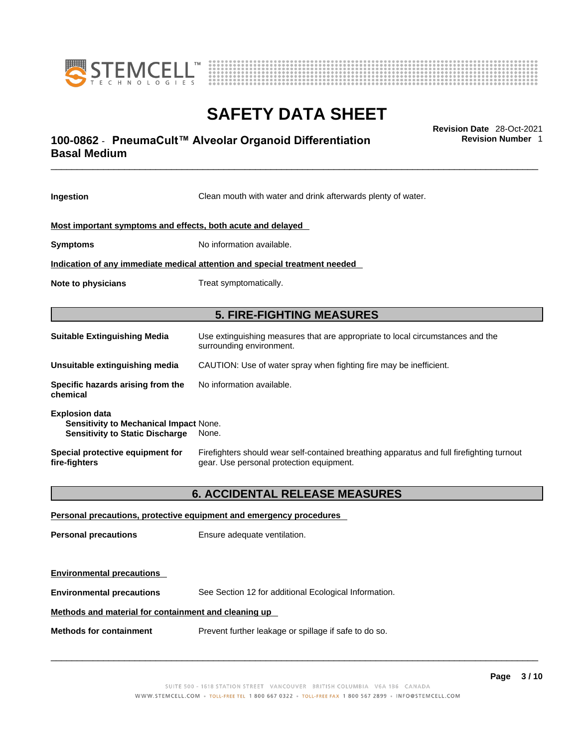



# \_\_\_\_\_\_\_\_\_\_\_\_\_\_\_\_\_\_\_\_\_\_\_\_\_\_\_\_\_\_\_\_\_\_\_\_\_\_\_\_\_\_\_\_\_\_\_\_\_\_\_\_\_\_\_\_\_\_\_\_\_\_\_\_\_\_\_\_\_\_\_\_\_\_\_\_\_\_\_\_\_\_\_\_\_\_\_\_\_\_\_\_\_ **Revision Date** 28-Oct-2021 **100-0862** - **PneumaCult™ Alveolar Organoid Differentiation Basal Medium**

**Revision Number** 1

| Ingestion                                                                                                 | Clean mouth with water and drink afterwards plenty of water.                                                                          |  |
|-----------------------------------------------------------------------------------------------------------|---------------------------------------------------------------------------------------------------------------------------------------|--|
| Most important symptoms and effects, both acute and delayed                                               |                                                                                                                                       |  |
| <b>Symptoms</b>                                                                                           | No information available.                                                                                                             |  |
| Indication of any immediate medical attention and special treatment needed                                |                                                                                                                                       |  |
| <b>Note to physicians</b>                                                                                 | Treat symptomatically.                                                                                                                |  |
| <b>5. FIRE-FIGHTING MEASURES</b>                                                                          |                                                                                                                                       |  |
| <b>Suitable Extinguishing Media</b>                                                                       | Use extinguishing measures that are appropriate to local circumstances and the<br>surrounding environment.                            |  |
| Unsuitable extinguishing media                                                                            | CAUTION: Use of water spray when fighting fire may be inefficient.                                                                    |  |
| Specific hazards arising from the<br>chemical                                                             | No information available.                                                                                                             |  |
| <b>Explosion data</b><br>Sensitivity to Mechanical Impact None.<br><b>Sensitivity to Static Discharge</b> | None.                                                                                                                                 |  |
| Special protective equipment for<br>fire-fighters                                                         | Firefighters should wear self-contained breathing apparatus and full firefighting turnout<br>gear. Use personal protection equipment. |  |
|                                                                                                           | <b>6. ACCIDENTAL RELEASE MEASURES</b>                                                                                                 |  |
|                                                                                                           | Personal precautions, protective equipment and emergency procedures                                                                   |  |
| <b>Personal precautions</b>                                                                               | Ensure adequate ventilation.                                                                                                          |  |
| <b>Environmental precautions</b>                                                                          |                                                                                                                                       |  |
| <b>Environmental precautions</b>                                                                          | See Section 12 for additional Ecological Information.                                                                                 |  |
| Methods and material for containment and cleaning up                                                      |                                                                                                                                       |  |

**Methods for containment** Prevent further leakage or spillage if safe to do so.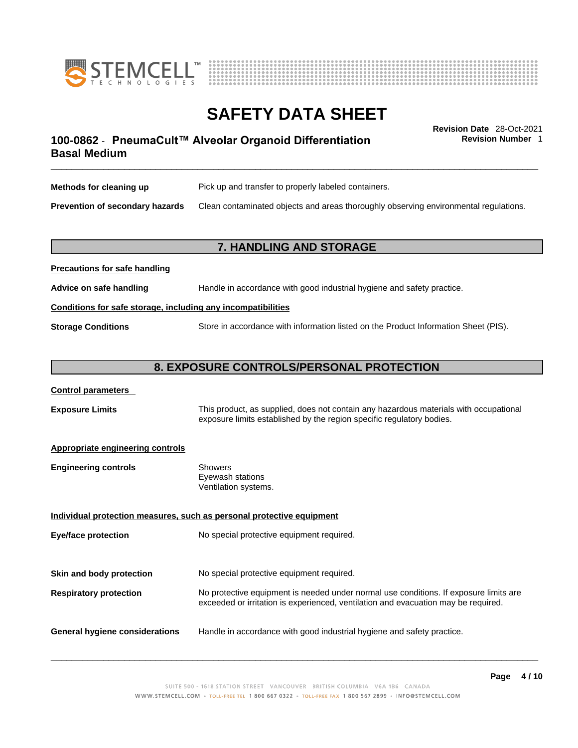



**Revision Number** 1

# \_\_\_\_\_\_\_\_\_\_\_\_\_\_\_\_\_\_\_\_\_\_\_\_\_\_\_\_\_\_\_\_\_\_\_\_\_\_\_\_\_\_\_\_\_\_\_\_\_\_\_\_\_\_\_\_\_\_\_\_\_\_\_\_\_\_\_\_\_\_\_\_\_\_\_\_\_\_\_\_\_\_\_\_\_\_\_\_\_\_\_\_\_ **Revision Date** 28-Oct-2021 **100-0862** - **PneumaCult™ Alveolar Organoid Differentiation Basal Medium**

| Methods for cleaning up                | Pick up and transfer to properly labeled containers.                                 |
|----------------------------------------|--------------------------------------------------------------------------------------|
| <b>Prevention of secondary hazards</b> | Clean contaminated objects and areas thoroughly observing environmental regulations. |

## **7. HANDLING AND STORAGE**

| <b>I</b> recaduotis for safe handling                        |                                                                                     |  |
|--------------------------------------------------------------|-------------------------------------------------------------------------------------|--|
| Advice on safe handling                                      | Handle in accordance with good industrial hygiene and safety practice.              |  |
| Conditions for safe storage, including any incompatibilities |                                                                                     |  |
| <b>Storage Conditions</b>                                    | Store in accordance with information listed on the Product Information Sheet (PIS). |  |

### **8. EXPOSURE CONTROLS/PERSONAL PROTECTION**

#### **Control parameters**

**Precautions for safe handling**

**Exposure Limits** This product, as supplied, does not contain any hazardous materials with occupational exposure limits established by the region specific regulatory bodies.

#### **Appropriate engineering controls**

| <b>Engineering controls</b> | Showers              |
|-----------------------------|----------------------|
|                             | Eyewash stations     |
|                             | Ventilation systems. |

**Individual protection measures, such as personal protective equipment Eye/face protection** No special protective equipment required. **Skin and body protection** No special protective equipment required. **Respiratory protection** No protective equipment is needed under normal use conditions. If exposure limits are exceeded or irritation is experienced, ventilation and evacuation may be required. **General hygiene considerations** Handle in accordance with good industrial hygiene and safety practice.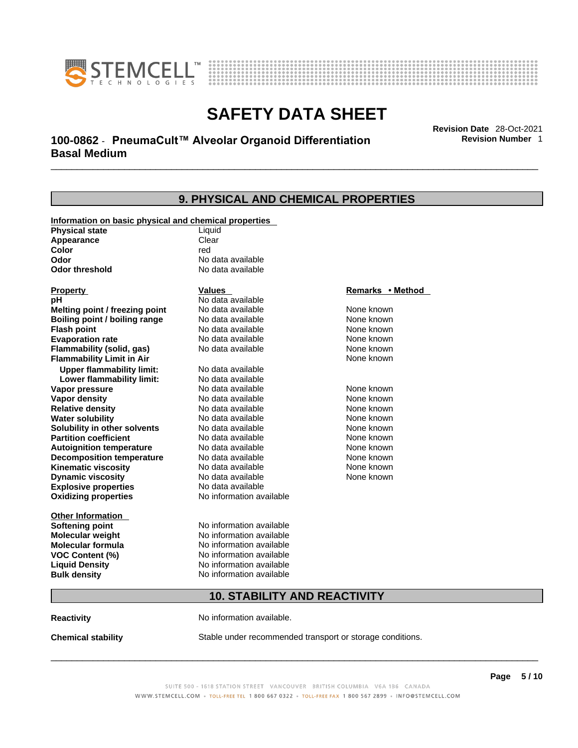



# \_\_\_\_\_\_\_\_\_\_\_\_\_\_\_\_\_\_\_\_\_\_\_\_\_\_\_\_\_\_\_\_\_\_\_\_\_\_\_\_\_\_\_\_\_\_\_\_\_\_\_\_\_\_\_\_\_\_\_\_\_\_\_\_\_\_\_\_\_\_\_\_\_\_\_\_\_\_\_\_\_\_\_\_\_\_\_\_\_\_\_\_\_ **Revision Date** 28-Oct-2021 **100-0862** - **PneumaCult™ Alveolar Organoid Differentiation Basal Medium**

**9. PHYSICAL AND CHEMICAL PROPERTIES Information on basic physical and chemical properties Physical state** Liquid **Appearance** Clear<br> **Color** color color **Color** red **Odor Constanting Codor Constanting Codor threshold Codor Constanting Codor No data available No data available Explosive properties** No data available **Oxidizing properties** No information available **Other Information Softening point** No information available **Molecular weight** No information available **Molecular formula** No information available<br>**VOC Content (%)** No information available **VOC** Content (%) **Liquid Density** No information available **Bulk density No information available Property CONSCRUTE IN THE VALUES REMARKS • Method pH** No data available<br> **Melting point / freezing point** No data available **Melting point / freezing point** No data available None known **Boiling point / boiling range Modata available None Known None known Flash point Communist Communist Communist Communist Communist Communist Communist Communist Communist Communist Communist Communist Communist Communist Communist Communist Communist Communist Communist Communist Communi Evaporation rate Configure 1 Accord None Configure 1 Accord None known**<br> **Elammability (solid. gas)** No data available **None known** None known **Flammability (solid, gas)** No data available None known **Flammability Limit in Air None known None known Upper flammability limit:** No data available **Lower flammability limit:** No data available **Vapor pressure No data available None known Vapor density Notata available None known Relative density No data available None known None known Water solubility No data available Mone known**<br> **Solubility in other solvents** No data available None known None known **Solubility in other solvents** No data available **None known**<br> **Partition coefficient** No data available **None known**<br>
None known **Partition coefficient**<br> **Autoignition temperature**<br>
No data available **Autoignition temperature** No data available None known<br> **Decomposition temperature** No data available None known<br>
None known **Decomposition temperature** No data available None known<br> **Kinematic viscosity** No data available None known **Kinematic viscosity** No data available<br> **Dynamic viscosity** No data available **Dynamic viscosity** None known

## **10. STABILITY AND REACTIVITY**

**Reactivity No information available.** 

**Chemical stability** Stable under recommended transport or storage conditions.

 $\_$  ,  $\_$  ,  $\_$  ,  $\_$  ,  $\_$  ,  $\_$  ,  $\_$  ,  $\_$  ,  $\_$  ,  $\_$  ,  $\_$  ,  $\_$  ,  $\_$  ,  $\_$  ,  $\_$  ,  $\_$  ,  $\_$  ,  $\_$  ,  $\_$  ,  $\_$  ,  $\_$  ,  $\_$  ,  $\_$  ,  $\_$  ,  $\_$  ,  $\_$  ,  $\_$  ,  $\_$  ,  $\_$  ,  $\_$  ,  $\_$  ,  $\_$  ,  $\_$  ,  $\_$  ,  $\_$  ,  $\_$  ,  $\_$  ,

**Revision Number** 1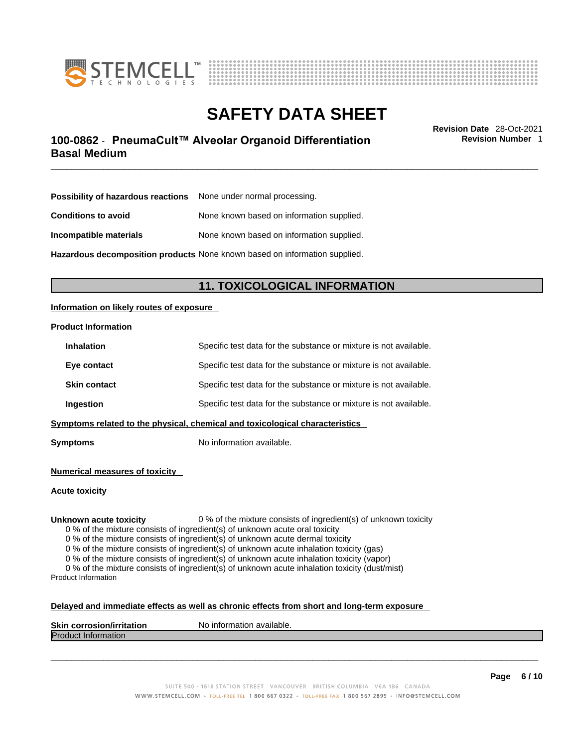



# \_\_\_\_\_\_\_\_\_\_\_\_\_\_\_\_\_\_\_\_\_\_\_\_\_\_\_\_\_\_\_\_\_\_\_\_\_\_\_\_\_\_\_\_\_\_\_\_\_\_\_\_\_\_\_\_\_\_\_\_\_\_\_\_\_\_\_\_\_\_\_\_\_\_\_\_\_\_\_\_\_\_\_\_\_\_\_\_\_\_\_\_\_ **Revision Date** 28-Oct-2021 **100-0862** - **PneumaCult™ Alveolar Organoid Differentiation Basal Medium**

**Revision Number** 1

| <b>Possibility of hazardous reactions</b> None under normal processing.    |                                           |  |
|----------------------------------------------------------------------------|-------------------------------------------|--|
| <b>Conditions to avoid</b>                                                 | None known based on information supplied. |  |
| Incompatible materials                                                     | None known based on information supplied. |  |
| Hazardous decomposition products None known based on information supplied. |                                           |  |

# **11. TOXICOLOGICAL INFORMATION**

### **Information on likely routes of exposure**

#### **Product Information**

| <b>Inhalation</b>                                                            | Specific test data for the substance or mixture is not available. |  |
|------------------------------------------------------------------------------|-------------------------------------------------------------------|--|
| Eye contact                                                                  | Specific test data for the substance or mixture is not available. |  |
| <b>Skin contact</b>                                                          | Specific test data for the substance or mixture is not available. |  |
| Ingestion                                                                    | Specific test data for the substance or mixture is not available. |  |
| Symptoms related to the physical, chemical and toxicological characteristics |                                                                   |  |

**Symptoms** No information available.

**Numerical measures of toxicity**

**Acute toxicity**

**Unknown acute toxicity** 0 % of the mixture consists of ingredient(s) of unknown toxicity

0 % of the mixture consists of ingredient(s) of unknown acute oral toxicity

0 % of the mixture consists of ingredient(s) of unknown acute dermal toxicity

0 % of the mixture consists of ingredient(s) of unknown acute inhalation toxicity (gas)

0 % of the mixture consists of ingredient(s) of unknown acute inhalation toxicity (vapor)

0 % of the mixture consists of ingredient(s) of unknown acute inhalation toxicity (dust/mist) Product Information

#### **Delayed and immediate effects as well as chronic effects from short and long-term exposure**

| <b>Skin corrosion/irritation</b> | p information available.<br>N0. |
|----------------------------------|---------------------------------|
| <b>Produ</b><br>∷information     |                                 |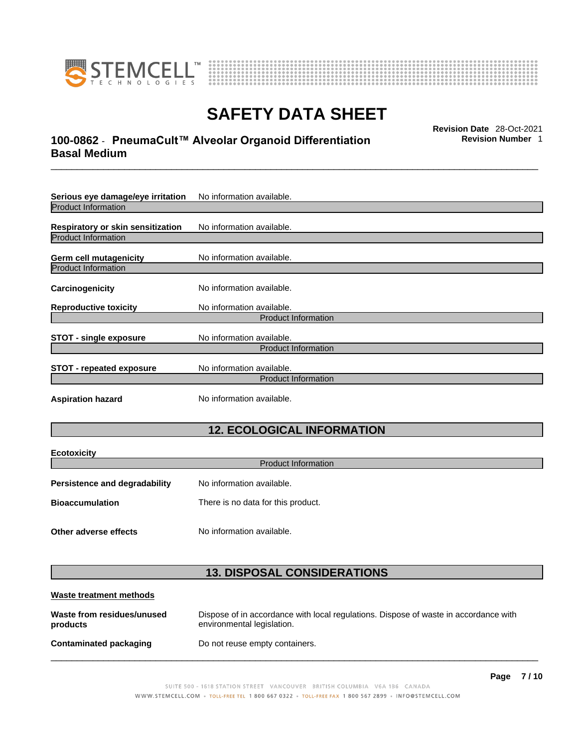

**Ecotoxicity** 



# **SAFETY DATA SHEET**

# \_\_\_\_\_\_\_\_\_\_\_\_\_\_\_\_\_\_\_\_\_\_\_\_\_\_\_\_\_\_\_\_\_\_\_\_\_\_\_\_\_\_\_\_\_\_\_\_\_\_\_\_\_\_\_\_\_\_\_\_\_\_\_\_\_\_\_\_\_\_\_\_\_\_\_\_\_\_\_\_\_\_\_\_\_\_\_\_\_\_\_\_\_ **Revision Date** 28-Oct-2021 **100-0862** - **PneumaCult™ Alveolar Organoid Differentiation Basal Medium**

**Revision Number** 1

| Serious eye damage/eye irritation        | No information available.                               |
|------------------------------------------|---------------------------------------------------------|
| <b>Product Information</b>               |                                                         |
| <b>Respiratory or skin sensitization</b> | No information available.                               |
| <b>Product Information</b>               |                                                         |
| Germ cell mutagenicity                   | No information available.                               |
| <b>Product Information</b>               |                                                         |
| <b>Carcinogenicity</b>                   | No information available.                               |
| <b>Reproductive toxicity</b>             | No information available.                               |
|                                          | <b>Product Information</b>                              |
| <b>STOT - single exposure</b>            | No information available.<br><b>Product Information</b> |
| <b>STOT - repeated exposure</b>          | No information available.<br><b>Product Information</b> |
| <b>Aspiration hazard</b>                 | No information available.                               |

# **12. ECOLOGICAL INFORMATION**

| ECOLOXICITY<br><b>Product Information</b> |                                    |  |
|-------------------------------------------|------------------------------------|--|
| <b>Persistence and degradability</b>      | No information available.          |  |
| <b>Bioaccumulation</b>                    | There is no data for this product. |  |
| Other adverse effects                     | No information available.          |  |

# **13. DISPOSAL CONSIDERATIONS**

| Waste treatment methods                |                                                                                                                    |
|----------------------------------------|--------------------------------------------------------------------------------------------------------------------|
| Waste from residues/unused<br>products | Dispose of in accordance with local regulations. Dispose of waste in accordance with<br>environmental legislation. |
| <b>Contaminated packaging</b>          | Do not reuse empty containers.                                                                                     |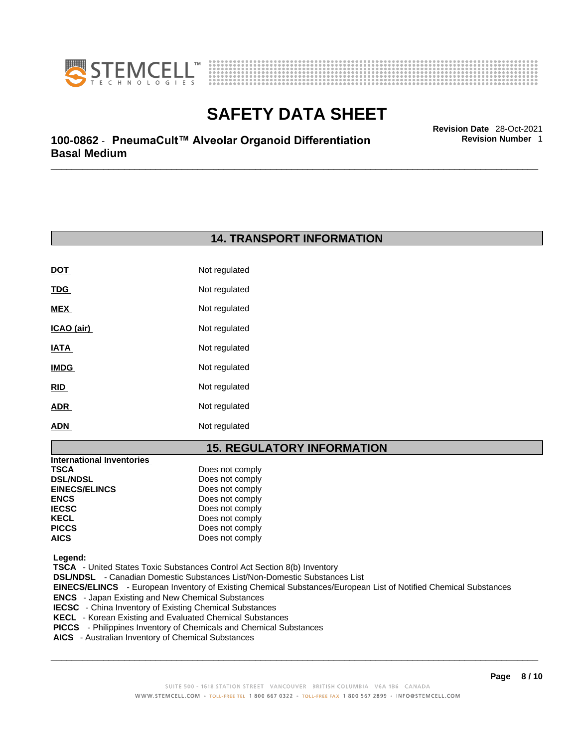



**Revision Number** 1

\_\_\_\_\_\_\_\_\_\_\_\_\_\_\_\_\_\_\_\_\_\_\_\_\_\_\_\_\_\_\_\_\_\_\_\_\_\_\_\_\_\_\_\_\_\_\_\_\_\_\_\_\_\_\_\_\_\_\_\_\_\_\_\_\_\_\_\_\_\_\_\_\_\_\_\_\_\_\_\_\_\_\_\_\_\_\_\_\_\_\_\_\_ **Revision Date** 28-Oct-2021 **100-0862** - **PneumaCult™ Alveolar Organoid Differentiation Basal Medium** 

# **14. TRANSPORT INFORMATION**

| DOT         | Not regulated |
|-------------|---------------|
| <u>TDG</u>  | Not regulated |
| <b>MEX</b>  | Not regulated |
| ICAO (air)  | Not regulated |
| <u>IATA</u> | Not regulated |
| <b>IMDG</b> | Not regulated |
| <b>RID</b>  | Not regulated |
| <b>ADR</b>  | Not regulated |
| ADN         | Not regulated |

## **15. REGULATORY INFORMATION**

| <b>International Inventories</b> |                 |  |
|----------------------------------|-----------------|--|
| TSCA                             | Does not comply |  |
| <b>DSL/NDSL</b>                  | Does not comply |  |
| <b>EINECS/ELINCS</b>             | Does not comply |  |
| <b>ENCS</b>                      | Does not comply |  |
| <b>IECSC</b>                     | Does not comply |  |
| <b>KECL</b>                      | Does not comply |  |
| <b>PICCS</b>                     | Does not comply |  |
| <b>AICS</b>                      | Does not comply |  |
|                                  |                 |  |

 **Legend:** 

 **TSCA** - United States Toxic Substances Control Act Section 8(b) Inventory

 **DSL/NDSL** - Canadian Domestic Substances List/Non-Domestic Substances List

 **EINECS/ELINCS** - European Inventory of Existing Chemical Substances/European List of Notified Chemical Substances

 **ENCS** - Japan Existing and New Chemical Substances

**IECSC** - China Inventory of Existing Chemical Substances

 **KECL** - Korean Existing and Evaluated Chemical Substances

- **PICCS**  Philippines Inventory of Chemicals and Chemical Substances
- **AICS**  Australian Inventory of Chemical Substances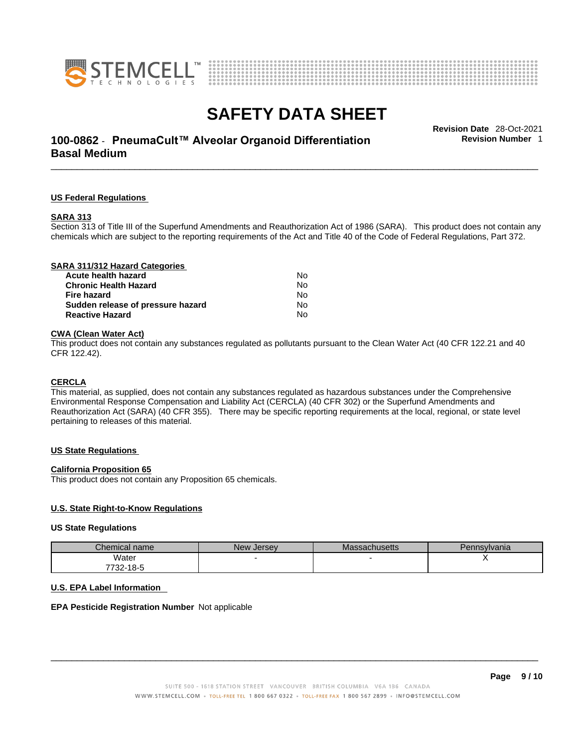



# \_\_\_\_\_\_\_\_\_\_\_\_\_\_\_\_\_\_\_\_\_\_\_\_\_\_\_\_\_\_\_\_\_\_\_\_\_\_\_\_\_\_\_\_\_\_\_\_\_\_\_\_\_\_\_\_\_\_\_\_\_\_\_\_\_\_\_\_\_\_\_\_\_\_\_\_\_\_\_\_\_\_\_\_\_\_\_\_\_\_\_\_\_ **Revision Date** 28-Oct-2021 **100-0862** - **PneumaCult™ Alveolar Organoid Differentiation Basal Medium**

**Revision Number** 1

#### **US Federal Regulations**

#### **SARA 313**

Section 313 of Title III of the Superfund Amendments and Reauthorization Act of 1986 (SARA). This product does not contain any chemicals which are subject to the reporting requirements of the Act and Title 40 of the Code of Federal Regulations, Part 372.

| SARA 311/312 Hazard Categories    |    |  |
|-----------------------------------|----|--|
| Acute health hazard               | N٥ |  |
| <b>Chronic Health Hazard</b>      | Nο |  |
| Fire hazard                       | Nο |  |
| Sudden release of pressure hazard | No |  |
| <b>Reactive Hazard</b>            | No |  |
|                                   |    |  |

### **CWA** (Clean Water Act)

This product does not contain any substances regulated as pollutants pursuant to the Clean Water Act (40 CFR 122.21 and 40 CFR 122.42).

#### **CERCLA**

This material, as supplied, does not contain any substances regulated as hazardous substances under the Comprehensive Environmental Response Compensation and Liability Act (CERCLA) (40 CFR 302) or the Superfund Amendments and Reauthorization Act (SARA) (40 CFR 355). There may be specific reporting requirements at the local, regional, or state level pertaining to releases of this material.

#### **US State Regulations**

#### **California Proposition 65**

This product does not contain any Proposition 65 chemicals.

#### **U.S. State Right-to-Know Regulations**

#### **US State Regulations**

| Chemical name | New Jersev | <b>Massachusetts</b> | Pennsylvania |
|---------------|------------|----------------------|--------------|
| Water         |            |                      |              |
| 7732-18-5     |            |                      |              |

#### **U.S. EPA Label Information**

### **EPA Pesticide Registration Number** Not applicable